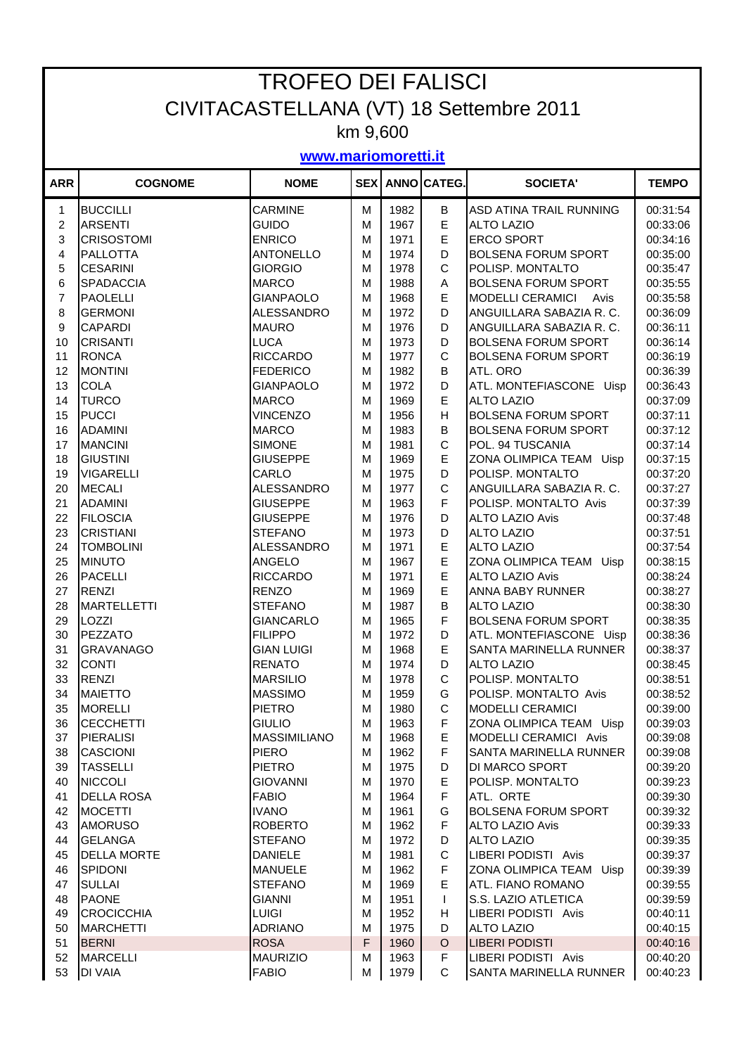| <b>TROFEO DEI FALISCI</b>               |                                     |                                      |             |              |              |                                                   |                      |  |  |
|-----------------------------------------|-------------------------------------|--------------------------------------|-------------|--------------|--------------|---------------------------------------------------|----------------------|--|--|
| CIVITACASTELLANA (VT) 18 Settembre 2011 |                                     |                                      |             |              |              |                                                   |                      |  |  |
| km 9,600                                |                                     |                                      |             |              |              |                                                   |                      |  |  |
| www.mariomoretti.it                     |                                     |                                      |             |              |              |                                                   |                      |  |  |
| <b>ARR</b>                              | <b>COGNOME</b>                      | <b>NOME</b>                          | <b>SEX</b>  |              | ANNO CATEG.  | <b>SOCIETA'</b>                                   | <b>TEMPO</b>         |  |  |
| 1                                       | <b>BUCCILLI</b>                     | <b>CARMINE</b>                       | м           | 1982         | B            | ASD ATINA TRAIL RUNNING                           | 00:31:54             |  |  |
| $\overline{c}$                          | <b>ARSENTI</b>                      | <b>GUIDO</b>                         | М           | 1967         | E            | <b>ALTO LAZIO</b>                                 | 00:33:06             |  |  |
| 3                                       | <b>CRISOSTOMI</b>                   | <b>ENRICO</b>                        | М           | 1971         | E            | <b>ERCO SPORT</b>                                 | 00:34:16             |  |  |
| 4                                       | <b>PALLOTTA</b>                     | <b>ANTONELLO</b>                     | М           | 1974         | D            | <b>BOLSENA FORUM SPORT</b>                        | 00:35:00             |  |  |
| 5                                       | <b>CESARINI</b>                     | <b>GIORGIO</b>                       | М           | 1978         | C            | POLISP. MONTALTO                                  | 00:35:47             |  |  |
| 6                                       | <b>SPADACCIA</b>                    | <b>MARCO</b>                         | M           | 1988         | Α            | <b>BOLSENA FORUM SPORT</b>                        | 00:35:55             |  |  |
| $\overline{7}$                          | <b>PAOLELLI</b>                     | <b>GIANPAOLO</b>                     | м           | 1968         | E            | <b>MODELLI CERAMICI</b><br>Avis                   | 00:35:58             |  |  |
| 8                                       | <b>GERMONI</b>                      | <b>ALESSANDRO</b>                    | м           | 1972         | D            | ANGUILLARA SABAZIA R. C.                          | 00:36:09             |  |  |
| 9                                       | <b>CAPARDI</b>                      | <b>MAURO</b>                         | м           | 1976         | D            | ANGUILLARA SABAZIA R. C.                          | 00:36:11             |  |  |
| 10                                      | <b>CRISANTI</b>                     | <b>LUCA</b>                          | М           | 1973         | D            | <b>BOLSENA FORUM SPORT</b>                        | 00:36:14             |  |  |
| 11                                      | <b>RONCA</b>                        | <b>RICCARDO</b>                      | М           | 1977         | C            | <b>BOLSENA FORUM SPORT</b>                        | 00:36:19             |  |  |
| 12                                      | <b>MONTINI</b>                      | <b>FEDERICO</b>                      | М           | 1982         | B            | ATL. ORO                                          | 00:36:39             |  |  |
| 13                                      | <b>COLA</b>                         | <b>GIANPAOLO</b>                     | М           | 1972         | D            | ATL. MONTEFIASCONE Uisp                           | 00:36:43             |  |  |
| 14                                      | <b>TURCO</b>                        | <b>MARCO</b>                         | М           | 1969         | E            | <b>ALTO LAZIO</b>                                 | 00:37:09             |  |  |
| 15                                      | <b>PUCCI</b>                        | <b>VINCENZO</b>                      | M           | 1956         | H            | <b>BOLSENA FORUM SPORT</b>                        | 00:37:11             |  |  |
| 16                                      | <b>ADAMINI</b>                      | <b>MARCO</b>                         | M           | 1983         | B            | <b>BOLSENA FORUM SPORT</b>                        | 00:37:12             |  |  |
| 17                                      | <b>MANCINI</b>                      | <b>SIMONE</b>                        | M           | 1981         | C            | POL. 94 TUSCANIA                                  | 00:37:14             |  |  |
| 18                                      | <b>GIUSTINI</b>                     | <b>GIUSEPPE</b>                      | M           | 1969         | E            | ZONA OLIMPICA TEAM Uisp                           | 00:37:15             |  |  |
| 19                                      | <b>VIGARELLI</b><br><b>MECALI</b>   | CARLO                                | М           | 1975<br>1977 | D<br>C       | POLISP. MONTALTO                                  | 00:37:20             |  |  |
| 20<br>21                                | <b>ADAMINI</b>                      | <b>ALESSANDRO</b><br><b>GIUSEPPE</b> | М<br>М      | 1963         | F            | ANGUILLARA SABAZIA R. C.<br>POLISP. MONTALTO Avis | 00:37:27<br>00:37:39 |  |  |
| 22                                      | <b>FILOSCIA</b>                     | <b>GIUSEPPE</b>                      | М           | 1976         | D            | <b>ALTO LAZIO Avis</b>                            | 00:37:48             |  |  |
| 23                                      | <b>CRISTIANI</b>                    | <b>STEFANO</b>                       | М           | 1973         | D            | <b>ALTO LAZIO</b>                                 | 00:37:51             |  |  |
| 24                                      | <b>TOMBOLINI</b>                    | <b>ALESSANDRO</b>                    | м           | 1971         | E            | <b>ALTO LAZIO</b>                                 | 00:37:54             |  |  |
| 25                                      | <b>MINUTO</b>                       | ANGELO                               | М           | 1967         | E            | ZONA OLIMPICA TEAM Uisp                           | 00:38:15             |  |  |
| 26                                      | <b>PACELLI</b>                      | <b>RICCARDO</b>                      | м           | 1971         | E            | <b>ALTO LAZIO Avis</b>                            | 00:38:24             |  |  |
| 27                                      | <b>RENZI</b>                        | <b>RENZO</b>                         | м           | 1969         | E            | <b>ANNA BABY RUNNER</b>                           | 00:38:27             |  |  |
| 28                                      | <b>MARTELLETTI</b>                  | <b>STEFANO</b>                       | м           | 1987         | B            | <b>ALTO LAZIO</b>                                 | 00:38:30             |  |  |
| 29                                      | $\overline{1}$ OZZI                 | <b>GIANCARLO</b>                     | М           | 1965         | F            | <b>BOLSENA FORUM SPORT</b>                        | 00:38:35             |  |  |
| 30                                      | PEZZATO                             | <b>FILIPPO</b>                       | М           | 1972         | D            | ATL. MONTEFIASCONE Uisp                           | 00:38:36             |  |  |
| 31                                      | <b>GRAVANAGO</b>                    | <b>GIAN LUIGI</b>                    | М           | 1968         | E            | SANTA MARINELLA RUNNER                            | 00:38:37             |  |  |
| 32                                      | <b>CONTI</b>                        | <b>RENATO</b>                        | М           | 1974         | D            | <b>ALTO LAZIO</b>                                 | 00:38:45             |  |  |
| 33                                      | <b>RENZI</b>                        | <b>MARSILIO</b>                      | м           | 1978         | C            | POLISP. MONTALTO                                  | 00:38:51             |  |  |
| 34                                      | <b>MAIETTO</b>                      | <b>MASSIMO</b>                       | м           | 1959         | G            | POLISP. MONTALTO Avis                             | 00:38:52             |  |  |
| 35                                      | <b>MORELLI</b>                      | <b>PIETRO</b>                        | M           | 1980         | C            | <b>MODELLI CERAMICI</b>                           | 00:39:00             |  |  |
| 36                                      | <b>CECCHETTI</b>                    | <b>GIULIO</b>                        | М           | 1963         | F            | ZONA OLIMPICA TEAM Uisp                           | 00:39:03             |  |  |
| 37                                      | <b>PIERALISI</b>                    | <b>MASSIMILIANO</b>                  | м           | 1968         | E            | MODELLI CERAMICI Avis                             | 00:39:08             |  |  |
| 38                                      | <b>CASCIONI</b>                     | <b>PIERO</b>                         | М           | 1962         | F            | SANTA MARINELLA RUNNER                            | 00:39:08             |  |  |
| 39                                      | <b>TASSELLI</b>                     | <b>PIETRO</b>                        | М           | 1975         | D            | <b>DI MARCO SPORT</b>                             | 00:39:20             |  |  |
| 40                                      | <b>NICCOLI</b>                      | <b>GIOVANNI</b>                      | М           | 1970         | E<br>F       | POLISP. MONTALTO                                  | 00:39:23             |  |  |
| 41                                      | <b>DELLA ROSA</b><br><b>MOCETTI</b> | <b>FABIO</b>                         | М           | 1964         |              | ATL. ORTE<br><b>BOLSENA FORUM SPORT</b>           | 00:39:30             |  |  |
| 42<br>43                                | <b>AMORUSO</b>                      | <b>IVANO</b><br><b>ROBERTO</b>       | М<br>М      | 1961<br>1962 | G<br>F       | <b>ALTO LAZIO Avis</b>                            | 00:39:32<br>00:39:33 |  |  |
| 44                                      | <b>GELANGA</b>                      | <b>STEFANO</b>                       | м           | 1972         | D            | <b>ALTO LAZIO</b>                                 | 00:39:35             |  |  |
| 45                                      | <b>DELLA MORTE</b>                  | <b>DANIELE</b>                       | М           | 1981         | C            | LIBERI PODISTI Avis                               | 00:39:37             |  |  |
| 46                                      | SPIDONI                             | <b>MANUELE</b>                       | М           | 1962         | F            | ZONA OLIMPICA TEAM Uisp                           | 00:39:39             |  |  |
| 47                                      | <b>SULLAI</b>                       | <b>STEFANO</b>                       | М           | 1969         | E            | ATL. FIANO ROMANO                                 | 00:39:55             |  |  |
| 48                                      | <b>PAONE</b>                        | <b>GIANNI</b>                        | М           | 1951         | $\mathbf{I}$ | S.S. LAZIO ATLETICA                               | 00:39:59             |  |  |
| 49                                      | <b>CROCICCHIA</b>                   | <b>LUIGI</b>                         | М           | 1952         | H            | LIBERI PODISTI Avis                               | 00:40:11             |  |  |
| 50                                      | <b>MARCHETTI</b>                    | <b>ADRIANO</b>                       | M           | 1975         | D            | <b>ALTO LAZIO</b>                                 | 00:40:15             |  |  |
| 51                                      | <b>BERNI</b>                        | <b>ROSA</b>                          | $\mathsf F$ | 1960         | $\circ$      | <b>LIBERI PODISTI</b>                             | 00:40:16             |  |  |
| 52                                      | <b>MARCELLI</b>                     | <b>MAURIZIO</b>                      | М           | 1963         | F            | LIBERI PODISTI Avis                               | 00:40:20             |  |  |
| 53                                      | <b>DI VAIA</b>                      | <b>FABIO</b>                         | м           | 1979         | C            | SANTA MARINELLA RUNNER                            | 00:40:23             |  |  |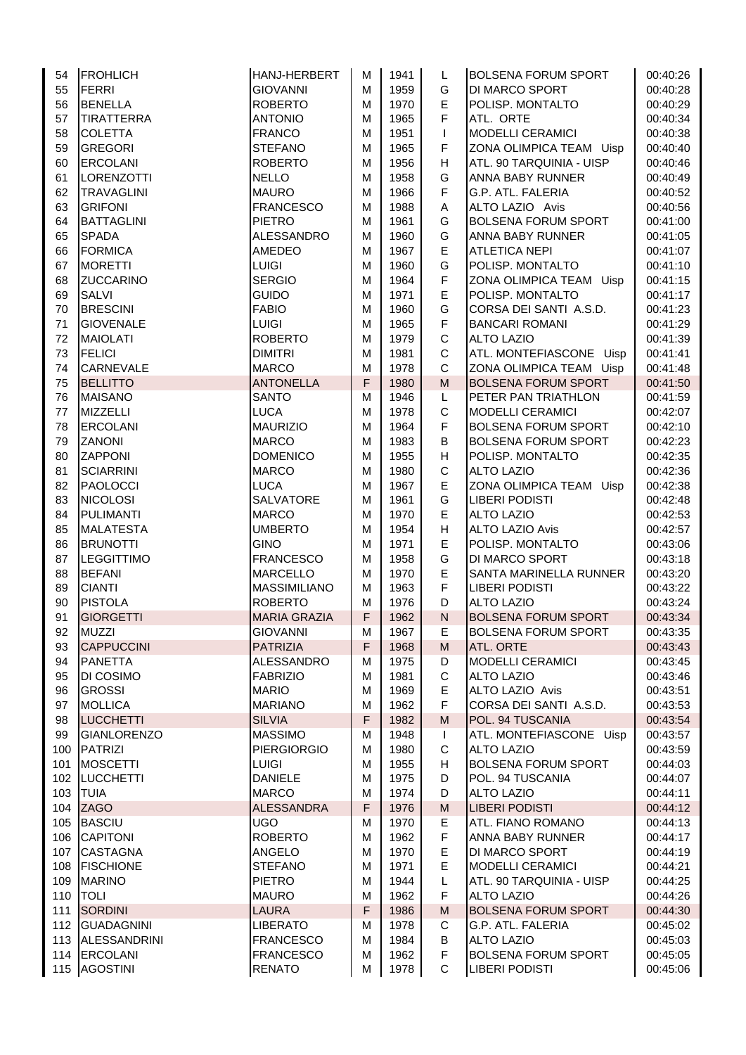| 54  | <b>FROHLICH</b>    | HANJ-HERBERT        | м           | 1941 | L                                                                                                          | <b>BOLSENA FORUM SPORT</b> | 00:40:26 |
|-----|--------------------|---------------------|-------------|------|------------------------------------------------------------------------------------------------------------|----------------------------|----------|
| 55  | FERRI              | <b>GIOVANNI</b>     | M           | 1959 | G                                                                                                          | <b>DI MARCO SPORT</b>      | 00:40:28 |
| 56  | <b>BENELLA</b>     | <b>ROBERTO</b>      | M           | 1970 | E                                                                                                          | POLISP. MONTALTO           | 00:40:29 |
| 57  | <b>TIRATTERRA</b>  | <b>ANTONIO</b>      | M           | 1965 | $\mathsf F$                                                                                                | ATL. ORTE                  | 00:40:34 |
| 58  | <b>COLETTA</b>     | <b>FRANCO</b>       | M           | 1951 | T                                                                                                          | <b>MODELLI CERAMICI</b>    | 00:40:38 |
| 59  | <b>GREGORI</b>     | <b>STEFANO</b>      | M           | 1965 | F                                                                                                          | ZONA OLIMPICA TEAM Uisp    | 00:40:40 |
| 60  | <b>ERCOLANI</b>    | <b>ROBERTO</b>      | M           | 1956 | H                                                                                                          | ATL. 90 TARQUINIA - UISP   | 00:40:46 |
| 61  | LORENZOTTI         | <b>NELLO</b>        | M           | 1958 | G                                                                                                          | ANNA BABY RUNNER           | 00:40:49 |
| 62  | <b>TRAVAGLINI</b>  | <b>MAURO</b>        | M           | 1966 | F                                                                                                          | G.P. ATL. FALERIA          | 00:40:52 |
| 63  | <b>GRIFONI</b>     | <b>FRANCESCO</b>    | M           | 1988 | Α                                                                                                          | ALTO LAZIO Avis            | 00:40:56 |
| 64  | <b>BATTAGLINI</b>  | <b>PIETRO</b>       | M           | 1961 | G                                                                                                          | <b>BOLSENA FORUM SPORT</b> | 00:41:00 |
| 65  | <b>SPADA</b>       | <b>ALESSANDRO</b>   | M           | 1960 | G                                                                                                          | ANNA BABY RUNNER           | 00:41:05 |
| 66  | <b>FORMICA</b>     | <b>AMEDEO</b>       | M           | 1967 | E                                                                                                          | <b>ATLETICA NEPI</b>       | 00:41:07 |
| 67  | <b>MORETTI</b>     | <b>LUIGI</b>        | M           | 1960 | G                                                                                                          | POLISP. MONTALTO           | 00:41:10 |
| 68  | <b>ZUCCARINO</b>   | <b>SERGIO</b>       | M           | 1964 | F                                                                                                          | ZONA OLIMPICA TEAM<br>Uisp | 00:41:15 |
| 69  | <b>SALVI</b>       | <b>GUIDO</b>        | M           | 1971 | E                                                                                                          | POLISP. MONTALTO           | 00:41:17 |
| 70  | <b>BRESCINI</b>    | <b>FABIO</b>        | M           | 1960 | G                                                                                                          | CORSA DEI SANTI A.S.D.     | 00:41:23 |
| 71  | <b>GIOVENALE</b>   | <b>LUIGI</b>        | M           | 1965 | $\mathsf F$                                                                                                | <b>BANCARI ROMANI</b>      | 00:41:29 |
| 72  | <b>MAIOLATI</b>    | <b>ROBERTO</b>      | M           | 1979 | $\mathsf C$                                                                                                | <b>ALTO LAZIO</b>          | 00:41:39 |
| 73  | <b>FELICI</b>      | <b>DIMITRI</b>      | M           | 1981 | $\mathsf C$                                                                                                | ATL. MONTEFIASCONE Uisp    | 00:41:41 |
| 74  | <b>CARNEVALE</b>   | <b>MARCO</b>        | M           | 1978 | C                                                                                                          | ZONA OLIMPICA TEAM Uisp    | 00:41:48 |
| 75  | <b>BELLITTO</b>    | <b>ANTONELLA</b>    | F           | 1980 | ${\sf M}$                                                                                                  | <b>BOLSENA FORUM SPORT</b> | 00:41:50 |
| 76  | <b>MAISANO</b>     | <b>SANTO</b>        | M           | 1946 | L                                                                                                          | PETER PAN TRIATHLON        | 00:41:59 |
|     | <b>MIZZELLI</b>    | <b>LUCA</b>         | M           | 1978 | $\mathsf C$                                                                                                | <b>MODELLI CERAMICI</b>    |          |
| 77  |                    |                     |             |      | $\mathsf F$                                                                                                |                            | 00:42:07 |
| 78  | <b>ERCOLANI</b>    | <b>MAURIZIO</b>     | M           | 1964 |                                                                                                            | <b>BOLSENA FORUM SPORT</b> | 00:42:10 |
| 79  | <b>ZANONI</b>      | <b>MARCO</b>        | M           | 1983 | B                                                                                                          | <b>BOLSENA FORUM SPORT</b> | 00:42:23 |
| 80  | <b>ZAPPONI</b>     | <b>DOMENICO</b>     | M           | 1955 | H                                                                                                          | POLISP. MONTALTO           | 00:42:35 |
| 81  | <b>SCIARRINI</b>   | <b>MARCO</b>        | M           | 1980 | $\mathsf C$                                                                                                | <b>ALTO LAZIO</b>          | 00:42:36 |
| 82  | PAOLOCCI           | <b>LUCA</b>         | M           | 1967 | E                                                                                                          | ZONA OLIMPICA TEAM Uisp    | 00:42:38 |
| 83  | <b>NICOLOSI</b>    | <b>SALVATORE</b>    | M           | 1961 | G                                                                                                          | <b>LIBERI PODISTI</b>      | 00:42:48 |
| 84  | <b>PULIMANTI</b>   | <b>MARCO</b>        | M           | 1970 | E                                                                                                          | <b>ALTO LAZIO</b>          | 00:42:53 |
| 85  | <b>MALATESTA</b>   | <b>UMBERTO</b>      | M           | 1954 | н                                                                                                          | <b>ALTO LAZIO Avis</b>     | 00:42:57 |
| 86  | <b>BRUNOTTI</b>    | <b>GINO</b>         | M           | 1971 | E                                                                                                          | POLISP. MONTALTO           | 00:43:06 |
| 87  | <b>LEGGITTIMO</b>  | <b>FRANCESCO</b>    | M           | 1958 | G                                                                                                          | <b>DI MARCO SPORT</b>      | 00:43:18 |
| 88  | <b>BEFANI</b>      | <b>MARCELLO</b>     | M           | 1970 | E                                                                                                          | SANTA MARINELLA RUNNER     | 00:43:20 |
| 89  | <b>CIANTI</b>      | <b>MASSIMILIANO</b> | M           | 1963 | $\mathsf F$                                                                                                | <b>LIBERI PODISTI</b>      | 00:43:22 |
| 90  | <b>PISTOLA</b>     | <b>ROBERTO</b>      | M           | 1976 | D                                                                                                          | <b>ALTO LAZIO</b>          | 00:43:24 |
| 91  | <b>GIORGETTI</b>   | <b>MARIA GRAZIA</b> | F           | 1962 | $\mathsf{N}$                                                                                               | <b>BOLSENA FORUM SPORT</b> | 00:43:34 |
| 92  | <b>MUZZI</b>       | <b>GIOVANNI</b>     | M           | 1967 | Е,                                                                                                         | <b>BOLSENA FORUM SPORT</b> | 00:43:35 |
| 93  | <b>CAPPUCCINI</b>  | <b>PATRIZIA</b>     | $\mathsf F$ | 1968 | $\mathsf{M}% _{T}=\mathsf{M}_{T}\!\left( a,b\right) ,\ \mathsf{M}_{T}=\mathsf{M}_{T}\!\left( a,b\right) ,$ | <b>ATL. ORTE</b>           | 00:43:43 |
| 94  | <b>PANETTA</b>     | <b>ALESSANDRO</b>   | M           | 1975 | D                                                                                                          | <b>MODELLI CERAMICI</b>    | 00:43:45 |
| 95  | DI COSIMO          | <b>FABRIZIO</b>     | M           | 1981 | $\mathsf C$                                                                                                | <b>ALTO LAZIO</b>          | 00:43:46 |
| 96  | <b>GROSSI</b>      | <b>MARIO</b>        | M           | 1969 | E                                                                                                          | ALTO LAZIO Avis            | 00:43:51 |
| 97  | <b>MOLLICA</b>     | <b>MARIANO</b>      | M           | 1962 | F                                                                                                          | CORSA DEI SANTI A.S.D.     | 00:43:53 |
| 98  | <b>LUCCHETTI</b>   | <b>SILVIA</b>       | $\mathsf F$ | 1982 | M                                                                                                          | POL. 94 TUSCANIA           | 00:43:54 |
| 99  | <b>GIANLORENZO</b> | <b>MASSIMO</b>      | M           | 1948 | L                                                                                                          | ATL. MONTEFIASCONE Uisp    | 00:43:57 |
| 100 | PATRIZI            | <b>PIERGIORGIO</b>  | M           | 1980 | C                                                                                                          | <b>ALTO LAZIO</b>          | 00:43:59 |
| 101 | <b>MOSCETTI</b>    | <b>LUIGI</b>        | M           | 1955 | H                                                                                                          | <b>BOLSENA FORUM SPORT</b> | 00:44:03 |
| 102 | <b>LUCCHETTI</b>   | <b>DANIELE</b>      | M           | 1975 | D                                                                                                          | POL. 94 TUSCANIA           | 00:44:07 |
| 103 | <b>TUIA</b>        | <b>MARCO</b>        | M           | 1974 | D                                                                                                          | <b>ALTO LAZIO</b>          | 00:44:11 |
| 104 | <b>ZAGO</b>        | <b>ALESSANDRA</b>   | F           | 1976 | M                                                                                                          | <b>LIBERI PODISTI</b>      | 00:44:12 |
| 105 | <b>BASCIU</b>      | <b>UGO</b>          | M           | 1970 | E                                                                                                          | ATL. FIANO ROMANO          | 00:44:13 |
| 106 | <b>CAPITONI</b>    | <b>ROBERTO</b>      | M           | 1962 | F                                                                                                          | ANNA BABY RUNNER           | 00:44:17 |
| 107 | <b>CASTAGNA</b>    | <b>ANGELO</b>       | M           | 1970 | Е                                                                                                          | <b>DI MARCO SPORT</b>      | 00:44:19 |
| 108 | <b>FISCHIONE</b>   | <b>STEFANO</b>      | M           | 1971 | E                                                                                                          | <b>MODELLI CERAMICI</b>    | 00:44:21 |
| 109 | <b>MARINO</b>      | <b>PIETRO</b>       | M           | 1944 | L                                                                                                          | ATL. 90 TARQUINIA - UISP   | 00:44:25 |
| 110 | <b>TOLI</b>        | <b>MAURO</b>        | M           | 1962 | F.                                                                                                         | <b>ALTO LAZIO</b>          | 00:44:26 |
| 111 | <b>SORDINI</b>     | <b>LAURA</b>        | F           | 1986 | M                                                                                                          | <b>BOLSENA FORUM SPORT</b> | 00:44:30 |
| 112 | <b>GUADAGNINI</b>  | <b>LIBERATO</b>     | M           | 1978 | C                                                                                                          | G.P. ATL. FALERIA          | 00:45:02 |
|     | 113 ALESSANDRINI   |                     |             |      |                                                                                                            | <b>ALTO LAZIO</b>          |          |
|     |                    | <b>FRANCESCO</b>    | M           | 1984 | В<br>$\mathsf F$                                                                                           |                            | 00:45:03 |
|     | 114 ERCOLANI       | <b>FRANCESCO</b>    | M           | 1962 |                                                                                                            | <b>BOLSENA FORUM SPORT</b> | 00:45:05 |
|     | 115 AGOSTINI       | <b>RENATO</b>       | M           | 1978 | C.                                                                                                         | <b>LIBERI PODISTI</b>      | 00:45:06 |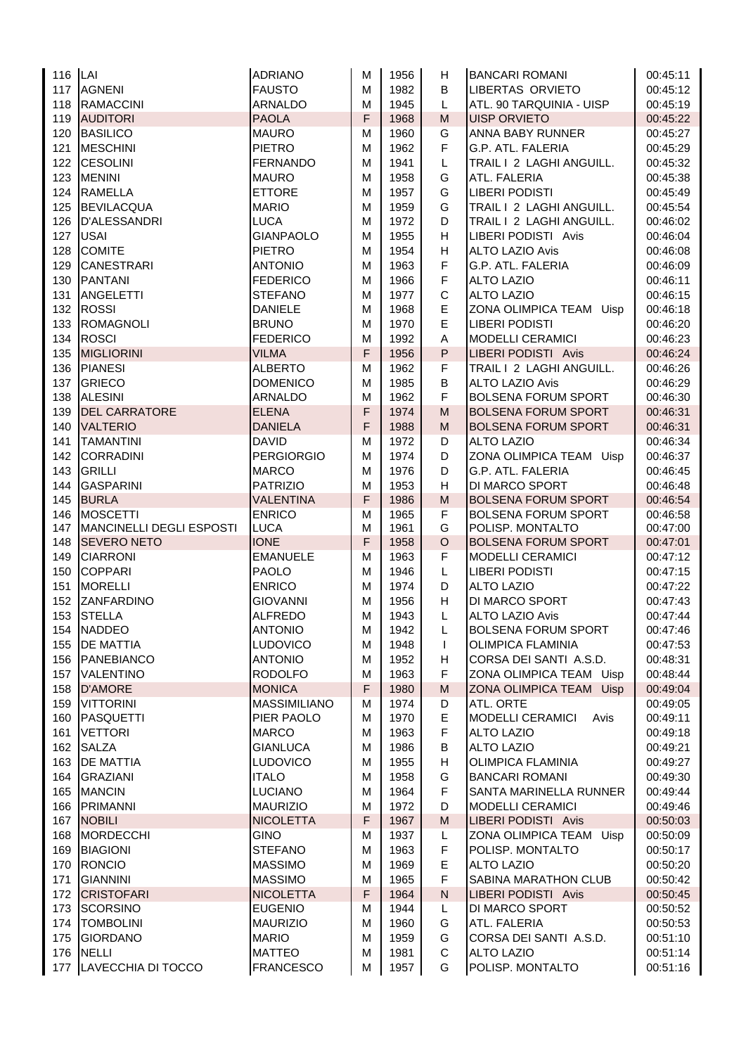| 116 LAI    |                                       | <b>ADRIANO</b>                | M      | 1956         | H.                                                                                                         | <b>BANCARI ROMANI</b>                                 | 00:45:11             |
|------------|---------------------------------------|-------------------------------|--------|--------------|------------------------------------------------------------------------------------------------------------|-------------------------------------------------------|----------------------|
| 117        | <b>AGNENI</b>                         | <b>FAUSTO</b>                 | M      | 1982         | B                                                                                                          | <b>LIBERTAS ORVIETO</b>                               | 00:45:12             |
| 118        | <b>RAMACCINI</b>                      | <b>ARNALDO</b>                | M      | 1945         | L                                                                                                          | ATL. 90 TARQUINIA - UISP                              | 00:45:19             |
| 119        | <b>AUDITORI</b>                       | <b>PAOLA</b>                  | F      | 1968         | $\mathsf{M}% _{T}=\mathsf{M}_{T}\!\left( a,b\right) ,\ \mathsf{M}_{T}=\mathsf{M}_{T}\!\left( a,b\right) ,$ | <b>UISP ORVIETO</b>                                   | 00:45:22             |
| 120        | <b>BASILICO</b>                       | <b>MAURO</b>                  | M      | 1960         | G                                                                                                          | ANNA BABY RUNNER                                      | 00:45:27             |
| 121        | <b>MESCHINI</b>                       | <b>PIETRO</b>                 | M      | 1962         | F                                                                                                          | G.P. ATL. FALERIA                                     | 00:45:29             |
| 122        | <b>CESOLINI</b>                       | FERNANDO                      | M      | 1941         | L                                                                                                          | TRAIL I 2 LAGHI ANGUILL.                              | 00:45:32             |
| 123        | <b>MENINI</b>                         | <b>MAURO</b>                  | M      | 1958         | G                                                                                                          | ATL. FALERIA                                          | 00:45:38             |
| 124        | <b>RAMELLA</b>                        | <b>ETTORE</b>                 | M      | 1957         | G                                                                                                          | <b>LIBERI PODISTI</b>                                 | 00:45:49             |
| 125        | <b>BEVILACQUA</b>                     | <b>MARIO</b>                  | м      | 1959         | G                                                                                                          | TRAIL I 2 LAGHI ANGUILL.                              | 00:45:54             |
| 126        | D'ALESSANDRI                          | <b>LUCA</b>                   | M      | 1972         | D                                                                                                          | TRAIL I 2 LAGHI ANGUILL.                              | 00:46:02             |
| 127        | <b>USAI</b>                           | <b>GIANPAOLO</b>              | M      | 1955         | H                                                                                                          | LIBERI PODISTI Avis                                   | 00:46:04             |
| 128        | <b>COMITE</b>                         | <b>PIETRO</b>                 | M      | 1954         | H                                                                                                          | <b>ALTO LAZIO Avis</b>                                | 00:46:08             |
| 129        | <b>CANESTRARI</b>                     | <b>ANTONIO</b>                | M      | 1963         | F                                                                                                          | G.P. ATL. FALERIA                                     | 00:46:09             |
| 130        | <b>PANTANI</b>                        | <b>FEDERICO</b>               | м      | 1966         | F                                                                                                          | <b>ALTO LAZIO</b>                                     | 00:46:11             |
| 131        | <b>ANGELETTI</b>                      | <b>STEFANO</b>                | м      | 1977         | $\mathbf C$                                                                                                | <b>ALTO LAZIO</b>                                     | 00:46:15             |
| 132        | <b>ROSSI</b>                          | <b>DANIELE</b>                | M      | 1968         | $\mathsf E$                                                                                                | ZONA OLIMPICA TEAM<br>Uisp                            | 00:46:18             |
| 133        | <b>ROMAGNOLI</b>                      | <b>BRUNO</b>                  | M      | 1970         | E                                                                                                          | <b>LIBERI PODISTI</b>                                 | 00:46:20             |
| 134        | <b>ROSCI</b>                          | <b>FEDERICO</b>               | М      | 1992         | Α                                                                                                          | <b>MODELLI CERAMICI</b>                               | 00:46:23             |
| 135        | <b>MIGLIORINI</b>                     | <b>VILMA</b>                  | F      | 1956         | P                                                                                                          | LIBERI PODISTI Avis                                   | 00:46:24             |
| 136        | <b>PIANESI</b>                        | <b>ALBERTO</b>                | М      | 1962         | F                                                                                                          | TRAIL I 2 LAGHI ANGUILL.                              | 00:46:26             |
| 137        | <b>GRIECO</b>                         | <b>DOMENICO</b>               | М      | 1985         | B                                                                                                          | <b>ALTO LAZIO Avis</b>                                | 00:46:29             |
| 138        | <b>ALESINI</b>                        | <b>ARNALDO</b>                | M      | 1962         | F                                                                                                          | <b>BOLSENA FORUM SPORT</b>                            | 00:46:30             |
| 139        | <b>DEL CARRATORE</b>                  | <b>ELENA</b>                  | F      | 1974         | $\mathsf{M}% _{T}=\mathsf{M}_{T}\!\left( a,b\right) ,\ \mathsf{M}_{T}=\mathsf{M}_{T}\!\left( a,b\right) ,$ | <b>BOLSENA FORUM SPORT</b>                            | 00:46:31             |
| 140        | <b>VALTERIO</b>                       | <b>DANIELA</b>                | F      | 1988         | M                                                                                                          | <b>BOLSENA FORUM SPORT</b>                            | 00:46:31             |
| 141        | <b>TAMANTINI</b>                      | <b>DAVID</b>                  | М      | 1972         | D                                                                                                          | <b>ALTO LAZIO</b>                                     | 00:46:34             |
| 142        | <b>CORRADINI</b>                      | PERGIORGIO                    | M      | 1974         | D                                                                                                          | ZONA OLIMPICA TEAM Uisp                               | 00:46:37             |
| 143        | <b>GRILLI</b>                         | <b>MARCO</b>                  | M      | 1976         | D                                                                                                          | G.P. ATL. FALERIA                                     | 00:46:45             |
| 144        | <b>GASPARINI</b>                      | PATRIZIO                      | M      | 1953         | H                                                                                                          | DI MARCO SPORT                                        | 00:46:48             |
| 145        | <b>BURLA</b>                          | <b>VALENTINA</b>              | F      | 1986         | M                                                                                                          | <b>BOLSENA FORUM SPORT</b>                            | 00:46:54             |
| 146        | <b>MOSCETTI</b>                       | <b>ENRICO</b>                 | м      | 1965         | F                                                                                                          | <b>BOLSENA FORUM SPORT</b>                            | 00:46:58             |
| 147<br>148 | MANCINELLI DEGLI ESPOSTI              | LUCA<br><b>IONE</b>           | M<br>F | 1961         | G<br>$\circ$                                                                                               | POLISP. MONTALTO                                      | 00:47:00             |
| 149        | <b>SEVERO NETO</b><br><b>CIARRONI</b> |                               |        | 1958         | F                                                                                                          | <b>BOLSENA FORUM SPORT</b><br><b>MODELLI CERAMICI</b> | 00:47:01             |
| 150        | <b>COPPARI</b>                        | <b>EMANUELE</b>               | м      | 1963<br>1946 |                                                                                                            | <b>LIBERI PODISTI</b>                                 | 00:47:12             |
| 151        | <b>MORELLI</b>                        | <b>PAOLO</b><br><b>ENRICO</b> | м<br>м | 1974         | L<br>D                                                                                                     | <b>ALTO LAZIO</b>                                     | 00:47:15<br>00:47:22 |
| 152        | <b>ZANFARDINO</b>                     | <b>GIOVANNI</b>               | м      | 1956         | H.                                                                                                         | DI MARCO SPORT                                        | 00:47:43             |
| 153        | <b>STELLA</b>                         | <b>ALFREDO</b>                | M      | 1943         | L                                                                                                          | <b>ALTO LAZIO Avis</b>                                | 00:47:44             |
|            | 154 NADDEO                            | <b>ANTONIO</b>                | M      | 1942         | Г                                                                                                          | <b>BOLSENA FORUM SPORT</b>                            | 00:47:46             |
| 155        | <b>DE MATTIA</b>                      | <b>LUDOVICO</b>               | M      | 1948         | T                                                                                                          | <b>OLIMPICA FLAMINIA</b>                              | 00:47:53             |
| 156        | PANEBIANCO                            | <b>ANTONIO</b>                | м      | 1952         | H                                                                                                          | CORSA DEI SANTI A.S.D.                                | 00:48:31             |
| 157        | <b>VALENTINO</b>                      | <b>RODOLFO</b>                | M      | 1963         | F                                                                                                          | ZONA OLIMPICA TEAM Uisp                               | 00:48:44             |
| 158        | <b>D'AMORE</b>                        | <b>MONICA</b>                 | F      | 1980         | M                                                                                                          | ZONA OLIMPICA TEAM Uisp                               | 00:49:04             |
| 159        | <b>VITTORINI</b>                      | <b>MASSIMILIANO</b>           | M      | 1974         | D                                                                                                          | ATL. ORTE                                             | 00:49:05             |
| 160        | <b>PASQUETTI</b>                      | PIER PAOLO                    | M      | 1970         | $\mathsf E$                                                                                                | <b>MODELLI CERAMICI</b><br>Avis                       | 00:49:11             |
| 161        | <b>VETTORI</b>                        | <b>MARCO</b>                  | M      | 1963         | F                                                                                                          | <b>ALTO LAZIO</b>                                     | 00:49:18             |
| 162        | <b>SALZA</b>                          | <b>GIANLUCA</b>               | M      | 1986         | В                                                                                                          | <b>ALTO LAZIO</b>                                     | 00:49:21             |
| 163        | <b>DE MATTIA</b>                      | <b>LUDOVICO</b>               | M      | 1955         | н                                                                                                          | <b>OLIMPICA FLAMINIA</b>                              | 00:49:27             |
| 164        | <b>GRAZIANI</b>                       | <b>ITALO</b>                  | M      | 1958         | G                                                                                                          | <b>BANCARI ROMANI</b>                                 | 00:49:30             |
| 165        | <b>MANCIN</b>                         | <b>LUCIANO</b>                | M      | 1964         | F                                                                                                          | SANTA MARINELLA RUNNER                                | 00:49:44             |
| 166        | <b>PRIMANNI</b>                       | <b>MAURIZIO</b>               | M      | 1972         | D                                                                                                          | <b>MODELLI CERAMICI</b>                               | 00:49:46             |
| 167        | <b>NOBILI</b>                         | <b>NICOLETTA</b>              | F      | 1967         | M                                                                                                          | LIBERI PODISTI Avis                                   | 00:50:03             |
| 168        | <b>MORDECCHI</b>                      | <b>GINO</b>                   | M      | 1937         | L                                                                                                          | ZONA OLIMPICA TEAM<br>Uisp                            | 00:50:09             |
| 169        | <b>BIAGIONI</b>                       | <b>STEFANO</b>                | M      | 1963         | F                                                                                                          | POLISP. MONTALTO                                      | 00:50:17             |
| 170        | <b>RONCIO</b>                         | <b>MASSIMO</b>                | м      | 1969         | E                                                                                                          | <b>ALTO LAZIO</b>                                     | 00:50:20             |
| 171        | <b>GIANNINI</b>                       | <b>MASSIMO</b>                | м      | 1965         | F                                                                                                          | SABINA MARATHON CLUB                                  | 00:50:42             |
| 172        | <b>CRISTOFARI</b>                     | <b>NICOLETTA</b>              | F      | 1964         | ${\sf N}$                                                                                                  | LIBERI PODISTI Avis                                   | 00:50:45             |
| 173        | <b>SCORSINO</b>                       | <b>EUGENIO</b>                | M      | 1944         | L                                                                                                          | DI MARCO SPORT                                        | 00:50:52             |
| 174        | <b>TOMBOLINI</b>                      | <b>MAURIZIO</b>               | M      | 1960         | G                                                                                                          | ATL. FALERIA                                          | 00:50:53             |
| 175        | <b>GIORDANO</b>                       | <b>MARIO</b>                  | M      | 1959         | G                                                                                                          | CORSA DEI SANTI A.S.D.                                | 00:51:10             |
| 176        | <b>NELLI</b>                          | <b>MATTEO</b>                 | M      | 1981         | $\mathsf C$                                                                                                | <b>ALTO LAZIO</b>                                     | 00:51:14             |
|            | 177 LAVECCHIA DI TOCCO                | <b>FRANCESCO</b>              | М      | 1957         | G                                                                                                          | POLISP. MONTALTO                                      | 00:51:16             |